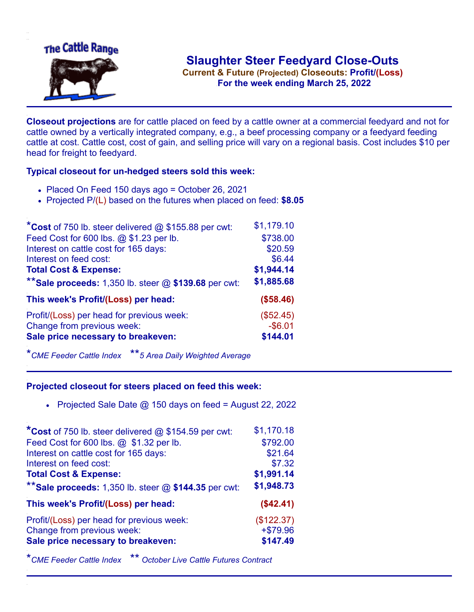

**Current & Future (Projected) Closeouts: Profit/(Loss)** .**For the week ending March 25, 2022**

**Closeout projections** are for cattle placed on feed by a cattle owner at a commercial feedyard and not for cattle owned by a vertically integrated company, e.g., a beef processing company or a feedyard feeding cattle at cost. Cattle cost, cost of gain, and selling price will vary on a regional basis. Cost includes \$10 per head for freight to feedyard.

## **Typical closeout for un-hedged steers sold this week:**

- Placed On Feed 150 days ago = October 26, 2021
- Projected P/(L) based on the futures when placed on feed: **\$8.05**

| *Cost of 750 lb. steer delivered $@$ \$155.88 per cwt:  | \$1,179.10 |
|---------------------------------------------------------|------------|
| Feed Cost for 600 lbs. @ \$1.23 per lb.                 | \$738.00   |
| Interest on cattle cost for 165 days:                   | \$20.59    |
| Interest on feed cost:                                  | \$6.44     |
| <b>Total Cost &amp; Expense:</b>                        | \$1,944.14 |
| ** Sale proceeds: 1,350 lb. steer $@$ \$139.68 per cwt: | \$1,885.68 |
| This week's Profit/(Loss) per head:                     | (\$58.46)  |
| Profit/(Loss) per head for previous week:               | (\$52.45)  |
| Change from previous week:                              | $-$ \$6.01 |
| Sale price necessary to breakeven:                      | \$144.01   |
|                                                         |            |

\**CME Feeder Cattle Index* \*\**5 Area Daily Weighted Average*

## **Projected closeout for steers placed on feed this week:**

• Projected Sale Date  $@$  150 days on feed = August 22, 2022

| *Cost of 750 lb. steer delivered $@$ \$154.59 per cwt:  | \$1,170.18 |
|---------------------------------------------------------|------------|
| Feed Cost for 600 lbs. @ \$1.32 per lb.                 | \$792.00   |
| Interest on cattle cost for 165 days:                   | \$21.64    |
| Interest on feed cost:                                  | \$7.32     |
| <b>Total Cost &amp; Expense:</b>                        | \$1,991.14 |
| ** Sale proceeds: 1,350 lb. steer $@$ \$144.35 per cwt: | \$1,948.73 |
| This week's Profit/(Loss) per head:                     | (\$42.41)  |
| Profit/(Loss) per head for previous week:               | (\$122.37) |
| Change from previous week:                              | $+ $79.96$ |
| Sale price necessary to breakeven:                      | \$147.49   |
|                                                         |            |

\**CME Feeder Cattle Index* \*\* *October Live Cattle Futures Contract*